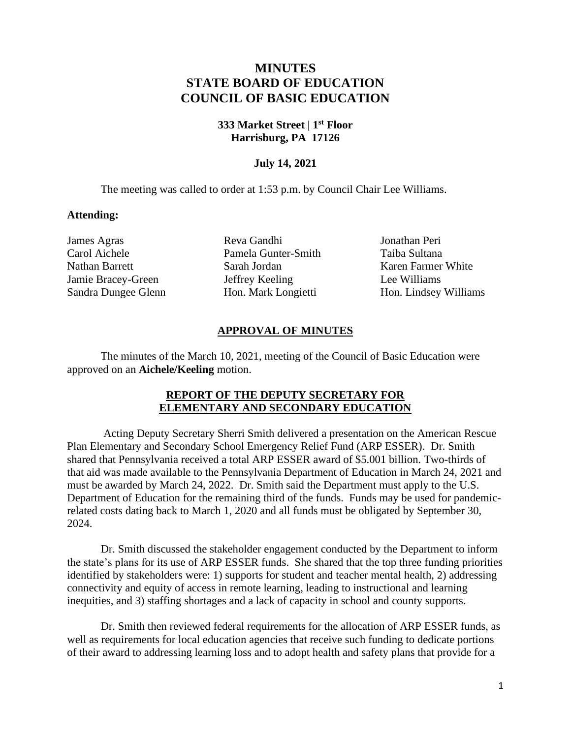# **MINUTES STATE BOARD OF EDUCATION COUNCIL OF BASIC EDUCATION**

#### **333 Market Street | 1st Floor Harrisburg, PA 17126**

## **July 14, 2021**

The meeting was called to order at 1:53 p.m. by Council Chair Lee Williams.

#### **Attending:**

James Agras Carol Aichele Nathan Barrett Jamie Bracey-Green Sandra Dungee Glenn

Reva Gandhi Pamela Gunter-Smith Sarah Jordan Jeffrey Keeling Hon. Mark Longietti

Jonathan Peri Taiba Sultana Karen Farmer White Lee Williams Hon. Lindsey Williams

## **APPROVAL OF MINUTES**

The minutes of the March 10, 2021, meeting of the Council of Basic Education were approved on an **Aichele/Keeling** motion.

## **REPORT OF THE DEPUTY SECRETARY FOR ELEMENTARY AND SECONDARY EDUCATION**

Acting Deputy Secretary Sherri Smith delivered a presentation on the American Rescue Plan Elementary and Secondary School Emergency Relief Fund (ARP ESSER). Dr. Smith shared that Pennsylvania received a total ARP ESSER award of \$5.001 billion. Two-thirds of that aid was made available to the Pennsylvania Department of Education in March 24, 2021 and must be awarded by March 24, 2022. Dr. Smith said the Department must apply to the U.S. Department of Education for the remaining third of the funds. Funds may be used for pandemicrelated costs dating back to March 1, 2020 and all funds must be obligated by September 30, 2024.

Dr. Smith discussed the stakeholder engagement conducted by the Department to inform the state's plans for its use of ARP ESSER funds. She shared that the top three funding priorities identified by stakeholders were: 1) supports for student and teacher mental health, 2) addressing connectivity and equity of access in remote learning, leading to instructional and learning inequities, and 3) staffing shortages and a lack of capacity in school and county supports.

Dr. Smith then reviewed federal requirements for the allocation of ARP ESSER funds, as well as requirements for local education agencies that receive such funding to dedicate portions of their award to addressing learning loss and to adopt health and safety plans that provide for a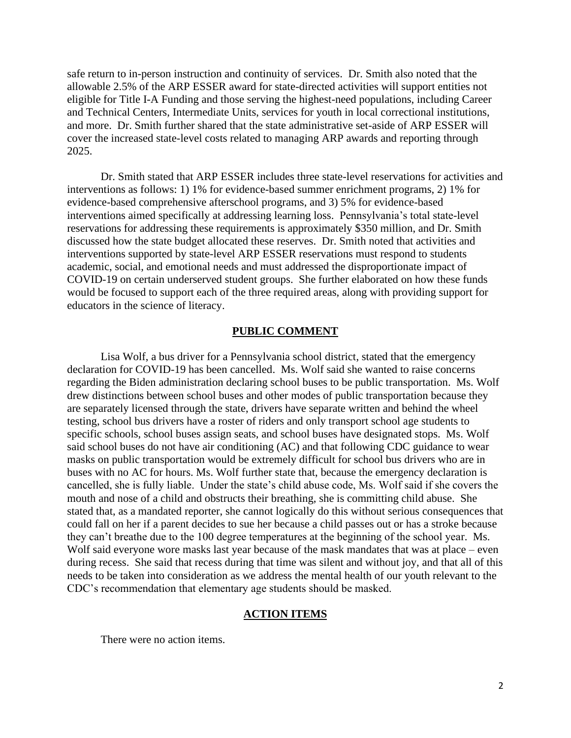safe return to in-person instruction and continuity of services. Dr. Smith also noted that the allowable 2.5% of the ARP ESSER award for state-directed activities will support entities not eligible for Title I-A Funding and those serving the highest-need populations, including Career and Technical Centers, Intermediate Units, services for youth in local correctional institutions, and more. Dr. Smith further shared that the state administrative set-aside of ARP ESSER will cover the increased state-level costs related to managing ARP awards and reporting through 2025.

Dr. Smith stated that ARP ESSER includes three state-level reservations for activities and interventions as follows: 1) 1% for evidence-based summer enrichment programs, 2) 1% for evidence-based comprehensive afterschool programs, and 3) 5% for evidence-based interventions aimed specifically at addressing learning loss. Pennsylvania's total state-level reservations for addressing these requirements is approximately \$350 million, and Dr. Smith discussed how the state budget allocated these reserves. Dr. Smith noted that activities and interventions supported by state-level ARP ESSER reservations must respond to students academic, social, and emotional needs and must addressed the disproportionate impact of COVID-19 on certain underserved student groups. She further elaborated on how these funds would be focused to support each of the three required areas, along with providing support for educators in the science of literacy.

#### **PUBLIC COMMENT**

Lisa Wolf, a bus driver for a Pennsylvania school district, stated that the emergency declaration for COVID-19 has been cancelled. Ms. Wolf said she wanted to raise concerns regarding the Biden administration declaring school buses to be public transportation. Ms. Wolf drew distinctions between school buses and other modes of public transportation because they are separately licensed through the state, drivers have separate written and behind the wheel testing, school bus drivers have a roster of riders and only transport school age students to specific schools, school buses assign seats, and school buses have designated stops. Ms. Wolf said school buses do not have air conditioning (AC) and that following CDC guidance to wear masks on public transportation would be extremely difficult for school bus drivers who are in buses with no AC for hours. Ms. Wolf further state that, because the emergency declaration is cancelled, she is fully liable. Under the state's child abuse code, Ms. Wolf said if she covers the mouth and nose of a child and obstructs their breathing, she is committing child abuse. She stated that, as a mandated reporter, she cannot logically do this without serious consequences that could fall on her if a parent decides to sue her because a child passes out or has a stroke because they can't breathe due to the 100 degree temperatures at the beginning of the school year. Ms. Wolf said everyone wore masks last year because of the mask mandates that was at place – even during recess. She said that recess during that time was silent and without joy, and that all of this needs to be taken into consideration as we address the mental health of our youth relevant to the CDC's recommendation that elementary age students should be masked.

#### **ACTION ITEMS**

There were no action items.